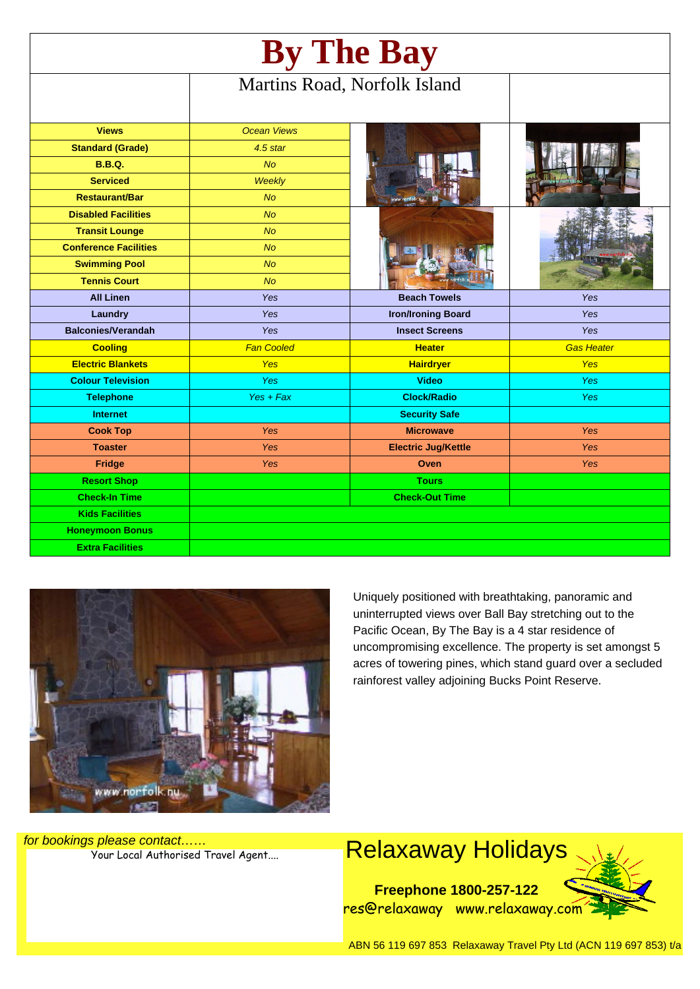| By The Bay                   |                              |                            |                   |
|------------------------------|------------------------------|----------------------------|-------------------|
|                              | Martins Road, Norfolk Island |                            |                   |
| <b>Views</b>                 | <b>Ocean Views</b>           |                            |                   |
| <b>Standard (Grade)</b>      | $4.5$ star                   |                            |                   |
| <b>B.B.Q.</b>                | No                           |                            |                   |
| <b>Serviced</b>              | Weekly                       |                            |                   |
| <b>Restaurant/Bar</b>        | <b>No</b>                    |                            |                   |
| <b>Disabled Facilities</b>   | No                           |                            |                   |
| <b>Transit Lounge</b>        | <b>No</b>                    |                            |                   |
| <b>Conference Facilities</b> | <b>No</b>                    |                            |                   |
| <b>Swimming Pool</b>         | <b>No</b>                    |                            |                   |
| <b>Tennis Court</b>          | <b>No</b>                    |                            |                   |
| <b>All Linen</b>             | Yes                          | <b>Beach Towels</b>        | Yes               |
| Laundry                      | Yes                          | <b>Iron/Ironing Board</b>  | Yes               |
| <b>Balconies/Verandah</b>    | Yes                          | <b>Insect Screens</b>      | Yes               |
| <b>Cooling</b>               | <b>Fan Cooled</b>            | <b>Heater</b>              | <b>Gas Heater</b> |
| <b>Electric Blankets</b>     | Yes                          | <b>Hairdryer</b>           | <b>Yes</b>        |
| <b>Colour Television</b>     | Yes                          | Video                      | <b>Yes</b>        |
| <b>Telephone</b>             | $Yes + Fax$                  | <b>Clock/Radio</b>         | <b>Yes</b>        |
| <b>Internet</b>              |                              | <b>Security Safe</b>       |                   |
| <b>Cook Top</b>              | Yes                          | <b>Microwave</b>           | <b>Yes</b>        |
| <b>Toaster</b>               | <b>Yes</b>                   | <b>Electric Jug/Kettle</b> | Yes               |
| <b>Fridge</b>                | <b>Yes</b>                   | Oven                       | <b>Yes</b>        |
| <b>Resort Shop</b>           |                              | <b>Tours</b>               |                   |
| <b>Check-In Time</b>         |                              | <b>Check-Out Time</b>      |                   |
| <b>Kids Facilities</b>       |                              |                            |                   |
| <b>Honeymoon Bonus</b>       |                              |                            |                   |
| <b>Extra Facilities</b>      |                              |                            |                   |



Uniquely positioned with breathtaking, panoramic and uninterrupted views over Ball Bay stretching out to the Pacific Ocean, By The Bay is a 4 star residence of uncompromising excellence. The property is set amongst 5 acres of towering pines, which stand guard over a secluded rainforest valley adjoining Bucks Point Reserve.

for bookings please contact……